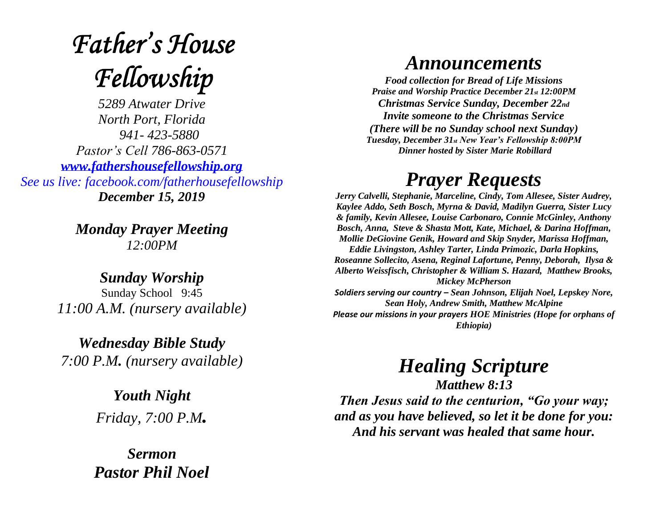# **Father's House** Fellowship

*5289 Atwater Drive North Port, Florida 941- 423-5880 Pastor's Cell 786-863-0571 [www.fathershousefellowship.org](http://www.fathershousefellowship.org/) See us live: facebook.com/fatherhousefellowship December 15, 2019*

> *Monday Prayer Meeting 12:00PM*

*Sunday Worship* Sunday School 9:45 *11:00 A.M. (nursery available)*

*Wednesday Bible Study 7:00 P.M. (nursery available)*

> *Youth Night Friday, 7:00 P.M.*

*Sermon Pastor Phil Noel*

#### *Announcements*

*Food collection for Bread of Life Missions Praise and Worship Practice December 21st 12:00PM Christmas Service Sunday, December 22nd Invite someone to the Christmas Service (There will be no Sunday school next Sunday) Tuesday, December 31st New Year's Fellowship 8:00PM Dinner hosted by Sister Marie Robillard*

### *Prayer Requests*

*Jerry Calvelli, Stephanie, Marceline, Cindy, Tom Allesee, Sister Audrey, Kaylee Addo, Seth Bosch, Myrna & David, Madilyn Guerra, Sister Lucy & family, Kevin Allesee, Louise Carbonaro, Connie McGinley, Anthony Bosch, Anna, Steve & Shasta Mott, Kate, Michael, & Darina Hoffman, Mollie DeGiovine Genik, Howard and Skip Snyder, Marissa Hoffman, Eddie Livingston, Ashley Tarter, Linda Primozic, Darla Hopkins, Roseanne Sollecito, Asena, Reginal Lafortune, Penny, Deborah, Ilysa & Alberto Weissfisch, Christopher & William S. Hazard, Matthew Brooks, Mickey McPherson Soldiers serving our country – Sean Johnson, Elijah Noel, Lepskey Nore, Sean Holy, Andrew Smith, Matthew McAlpine Please our missions in your prayers HOE Ministries (Hope for orphans of Ethiopia)*

## *Healing Scripture*

*Matthew 8:13 Then Jesus said to the centurion, "Go your way; and as you have believed, so let it be done for you: And his servant was healed that same hour.*